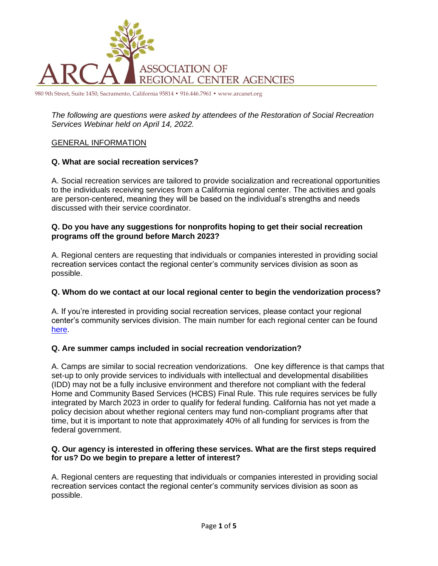

980 9th Street, Suite 1450, Sacramento, California 95814 • 916.446.7961 • www.arcanet.org

*The following are questions were asked by attendees of the Restoration of Social Recreation Services Webinar held on April 14, 2022.*

### GENERAL INFORMATION

### **Q. What are social recreation services?**

A. Social recreation services are tailored to provide socialization and recreational opportunities to the individuals receiving services from a California regional center. The activities and goals are person-centered, meaning they will be based on the individual's strengths and needs discussed with their service coordinator.

### **Q. Do you have any suggestions for nonprofits hoping to get their social recreation programs off the ground before March 2023?**

A. Regional centers are requesting that individuals or companies interested in providing social recreation services contact the regional center's community services division as soon as possible.

#### **Q. Whom do we contact at our local regional center to begin the vendorization process?**

A. If you're interested in providing social recreation services, please contact your regional center's community services division. The main number for each regional center can be found [here.](https://dds.ca.gov/rc/listings/)

## **Q. Are summer camps included in social recreation vendorization?**

A. Camps are similar to social recreation vendorizations. One key difference is that camps that set-up to only provide services to individuals with intellectual and developmental disabilities (IDD) may not be a fully inclusive environment and therefore not compliant with the federal Home and Community Based Services (HCBS) Final Rule. This rule requires services be fully integrated by March 2023 in order to qualify for federal funding. California has not yet made a policy decision about whether regional centers may fund non-compliant programs after that time, but it is important to note that approximately 40% of all funding for services is from the federal government.

#### **Q. Our agency is interested in offering these services. What are the first steps required for us? Do we begin to prepare a letter of interest?**

A. Regional centers are requesting that individuals or companies interested in providing social recreation services contact the regional center's community services division as soon as possible.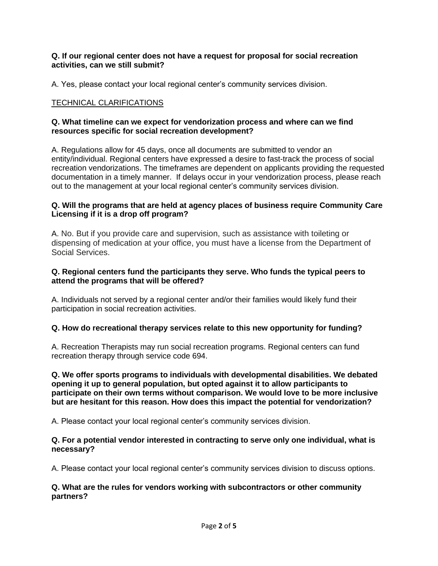### **Q. If our regional center does not have a request for proposal for social recreation activities, can we still submit?**

A. Yes, please contact your local regional center's community services division.

# TECHNICAL CLARIFICATIONS

### **Q. What timeline can we expect for vendorization process and where can we find resources specific for social recreation development?**

A. Regulations allow for 45 days, once all documents are submitted to vendor an entity/individual. Regional centers have expressed a desire to fast-track the process of social recreation vendorizations. The timeframes are dependent on applicants providing the requested documentation in a timely manner. If delays occur in your vendorization process, please reach out to the management at your local regional center's community services division.

### **Q. Will the programs that are held at agency places of business require Community Care Licensing if it is a drop off program?**

A. No. But if you provide care and supervision, such as assistance with toileting or dispensing of medication at your office, you must have a license from the Department of Social Services.

## **Q. Regional centers fund the participants they serve. Who funds the typical peers to attend the programs that will be offered?**

A. Individuals not served by a regional center and/or their families would likely fund their participation in social recreation activities.

## **Q. How do recreational therapy services relate to this new opportunity for funding?**

A. Recreation Therapists may run social recreation programs. Regional centers can fund recreation therapy through service code 694.

**Q. We offer sports programs to individuals with developmental disabilities. We debated opening it up to general population, but opted against it to allow participants to participate on their own terms without comparison. We would love to be more inclusive but are hesitant for this reason. How does this impact the potential for vendorization?** 

A. Please contact your local regional center's community services division.

## **Q. For a potential vendor interested in contracting to serve only one individual, what is necessary?**

A. Please contact your local regional center's community services division to discuss options.

### **Q. What are the rules for vendors working with subcontractors or other community partners?**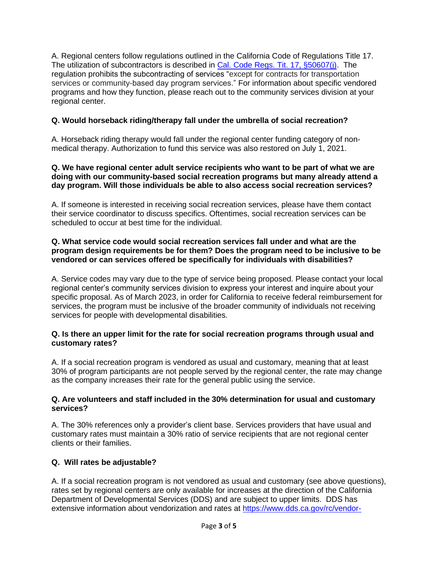A. Regional centers follow regulations outlined in the California Code of Regulations Title 17. The utilization of subcontractors is described in [Cal. Code Regs. Tit. 17, §50607\(j\).](https://govt.westlaw.com/calregs/Document/IB547BF0048A411E1AEDED464070F0B2C?viewType=FullText&originationContext=documenttoc&transitionType=CategoryPageItem&contextData=(sc.Default)) The regulation prohibits the subcontracting of services "except for contracts for transportation services or community-based day program services." For information about specific vendored programs and how they function, please reach out to the community services division at your regional center.

# **Q. Would horseback riding/therapy fall under the umbrella of social recreation?**

A. Horseback riding therapy would fall under the regional center funding category of nonmedical therapy. Authorization to fund this service was also restored on July 1, 2021.

### **Q. We have regional center adult service recipients who want to be part of what we are doing with our community-based social recreation programs but many already attend a day program. Will those individuals be able to also access social recreation services?**

A. If someone is interested in receiving social recreation services, please have them contact their service coordinator to discuss specifics. Oftentimes, social recreation services can be scheduled to occur at best time for the individual.

## **Q. What service code would social recreation services fall under and what are the program design requirements be for them? Does the program need to be inclusive to be vendored or can services offered be specifically for individuals with disabilities?**

A. Service codes may vary due to the type of service being proposed. Please contact your local regional center's community services division to express your interest and inquire about your specific proposal. As of March 2023, in order for California to receive federal reimbursement for services, the program must be inclusive of the broader community of individuals not receiving services for people with developmental disabilities.

## **Q. Is there an upper limit for the rate for social recreation programs through usual and customary rates?**

A. If a social recreation program is vendored as usual and customary, meaning that at least 30% of program participants are not people served by the regional center, the rate may change as the company increases their rate for the general public using the service.

## **Q. Are volunteers and staff included in the 30% determination for usual and customary services?**

A. The 30% references only a provider's client base. Services providers that have usual and customary rates must maintain a 30% ratio of service recipients that are not regional center clients or their families.

# **Q. Will rates be adjustable?**

A. If a social recreation program is not vendored as usual and customary (see above questions), rates set by regional centers are only available for increases at the direction of the California Department of Developmental Services (DDS) and are subject to upper limits. DDS has extensive information about vendorization and rates at [https://www.dds.ca.gov/rc/vendor-](https://www.dds.ca.gov/rc/vendor-provider/)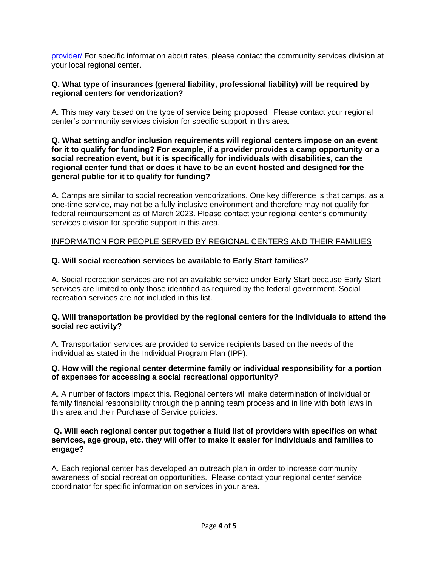[provider/](https://www.dds.ca.gov/rc/vendor-provider/) For specific information about rates, please contact the community services division at your local regional center.

## **Q. What type of insurances (general liability, professional liability) will be required by regional centers for vendorization?**

A. This may vary based on the type of service being proposed. Please contact your regional center's community services division for specific support in this area.

#### **Q. What setting and/or inclusion requirements will regional centers impose on an event for it to qualify for funding? For example, if a provider provides a camp opportunity or a social recreation event, but it is specifically for individuals with disabilities, can the regional center fund that or does it have to be an event hosted and designed for the general public for it to qualify for funding?**

A. Camps are similar to social recreation vendorizations. One key difference is that camps, as a one-time service, may not be a fully inclusive environment and therefore may not qualify for federal reimbursement as of March 2023. Please contact your regional center's community services division for specific support in this area.

## INFORMATION FOR PEOPLE SERVED BY REGIONAL CENTERS AND THEIR FAMILIES

## **Q. Will social recreation services be available to Early Start families**?

A. Social recreation services are not an available service under Early Start because Early Start services are limited to only those identified as required by the federal government. Social recreation services are not included in this list.

## **Q. Will transportation be provided by the regional centers for the individuals to attend the social rec activity?**

A. Transportation services are provided to service recipients based on the needs of the individual as stated in the Individual Program Plan (IPP).

### **Q. How will the regional center determine family or individual responsibility for a portion of expenses for accessing a social recreational opportunity?**

A. A number of factors impact this. Regional centers will make determination of individual or family financial responsibility through the planning team process and in line with both laws in this area and their Purchase of Service policies.

#### **Q. Will each regional center put together a fluid list of providers with specifics on what services, age group, etc. they will offer to make it easier for individuals and families to engage?**

A. Each regional center has developed an outreach plan in order to increase community awareness of social recreation opportunities. Please contact your regional center service coordinator for specific information on services in your area.